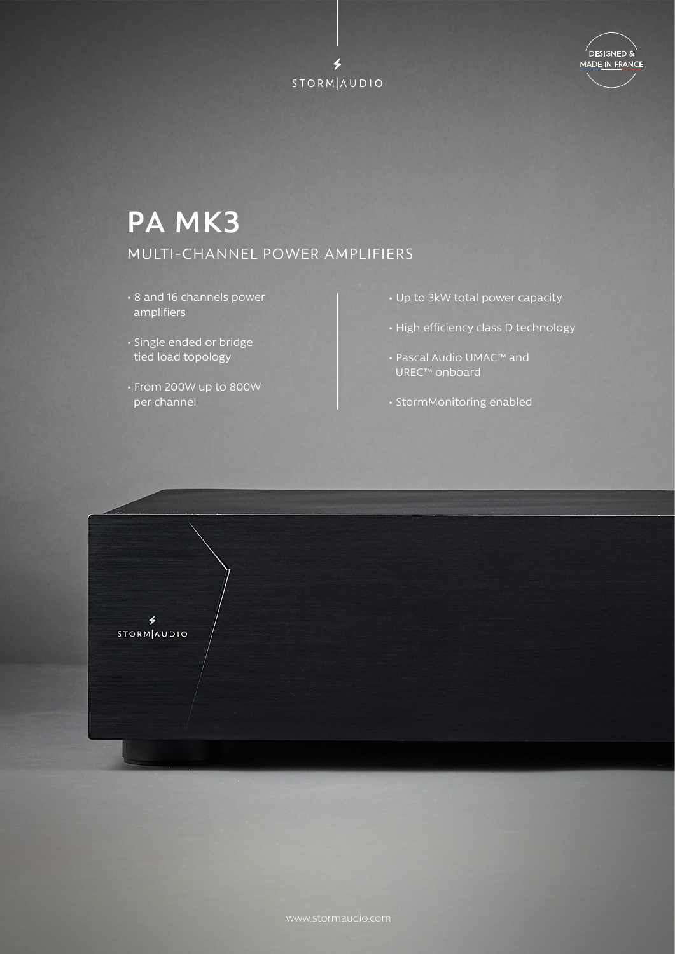



## **PA MK3** MULTI-CHANNEL POWER AMPLIFIERS

- 8 and 16 channels power amplifiers
- Single ended or bridge tied load topology
- From 200W up to 800W per channel
- Up to 3kW total power capacity
- High efficiency class D technology
- Pascal Audio UMAC™ and UREC™ onboard
- StormMonitoring enabled